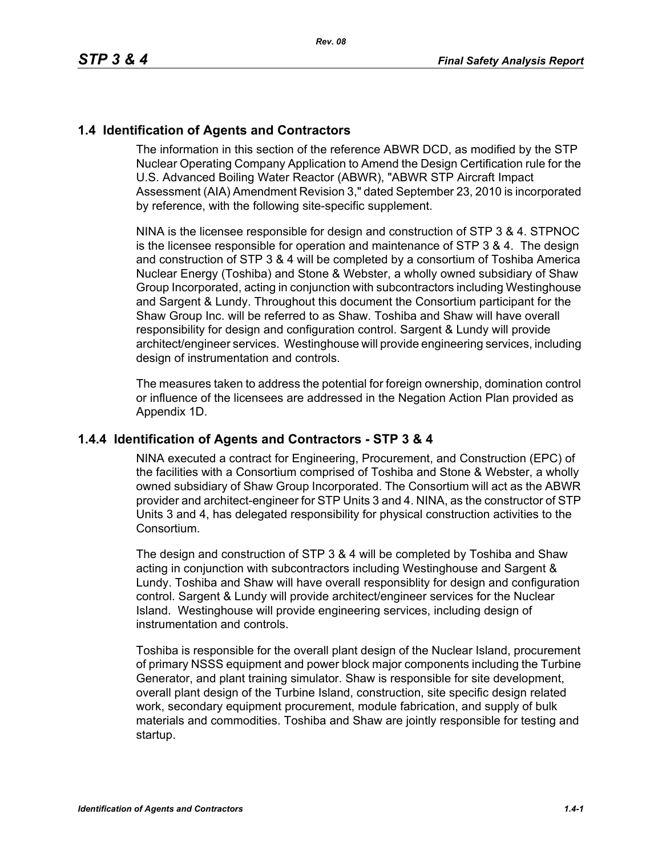## **1.4 Identification of Agents and Contractors**

The information in this section of the reference ABWR DCD, as modified by the STP Nuclear Operating Company Application to Amend the Design Certification rule for the U.S. Advanced Boiling Water Reactor (ABWR), "ABWR STP Aircraft Impact Assessment (AIA) Amendment Revision 3," dated September 23, 2010 is incorporated by reference, with the following site-specific supplement.

NINA is the licensee responsible for design and construction of STP 3 & 4. STPNOC is the licensee responsible for operation and maintenance of STP 3 & 4. The design and construction of STP 3 & 4 will be completed by a consortium of Toshiba America Nuclear Energy (Toshiba) and Stone & Webster, a wholly owned subsidiary of Shaw Group Incorporated, acting in conjunction with subcontractors including Westinghouse and Sargent & Lundy. Throughout this document the Consortium participant for the Shaw Group Inc. will be referred to as Shaw. Toshiba and Shaw will have overall responsibility for design and configuration control. Sargent & Lundy will provide architect/engineer services. Westinghouse will provide engineering services, including design of instrumentation and controls.

The measures taken to address the potential for foreign ownership, domination control or influence of the licensees are addressed in the Negation Action Plan provided as Appendix 1D.

#### **1.4.4 Identification of Agents and Contractors - STP 3 & 4**

NINA executed a contract for Engineering, Procurement, and Construction (EPC) of the facilities with a Consortium comprised of Toshiba and Stone & Webster, a wholly owned subsidiary of Shaw Group Incorporated. The Consortium will act as the ABWR provider and architect-engineer for STP Units 3 and 4. NINA, as the constructor of STP Units 3 and 4, has delegated responsibility for physical construction activities to the Consortium.

The design and construction of STP 3 & 4 will be completed by Toshiba and Shaw acting in conjunction with subcontractors including Westinghouse and Sargent & Lundy. Toshiba and Shaw will have overall responsiblity for design and configuration control. Sargent & Lundy will provide architect/engineer services for the Nuclear Island. Westinghouse will provide engineering services, including design of instrumentation and controls.

Toshiba is responsible for the overall plant design of the Nuclear Island, procurement of primary NSSS equipment and power block major components including the Turbine Generator, and plant training simulator. Shaw is responsible for site development, overall plant design of the Turbine Island, construction, site specific design related work, secondary equipment procurement, module fabrication, and supply of bulk materials and commodities. Toshiba and Shaw are jointly responsible for testing and startup.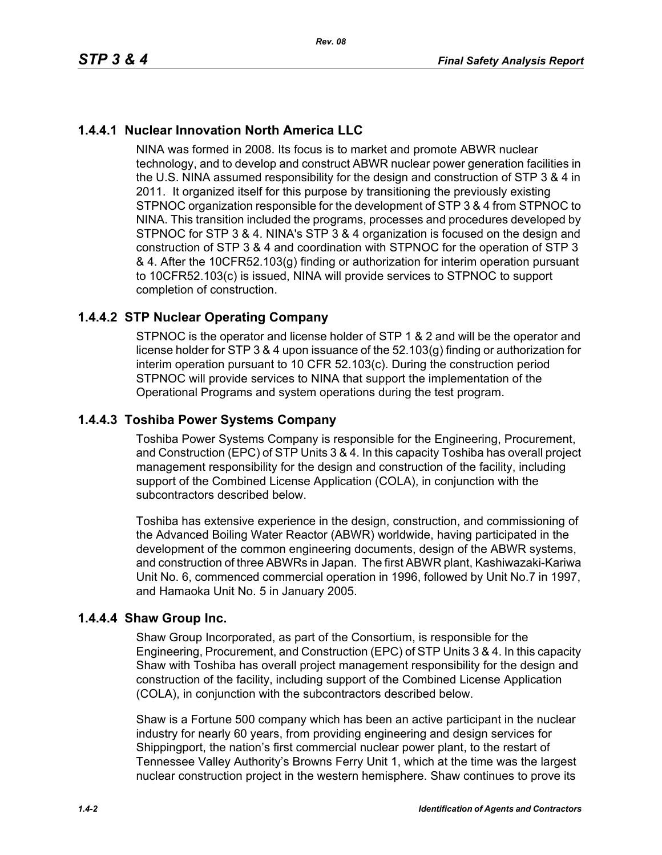# **1.4.4.1 Nuclear Innovation North America LLC**

NINA was formed in 2008. Its focus is to market and promote ABWR nuclear technology, and to develop and construct ABWR nuclear power generation facilities in the U.S. NINA assumed responsibility for the design and construction of STP 3 & 4 in 2011. It organized itself for this purpose by transitioning the previously existing STPNOC organization responsible for the development of STP 3 & 4 from STPNOC to NINA. This transition included the programs, processes and procedures developed by STPNOC for STP 3 & 4. NINA's STP 3 & 4 organization is focused on the design and construction of STP 3 & 4 and coordination with STPNOC for the operation of STP 3 & 4. After the 10CFR52.103(g) finding or authorization for interim operation pursuant to 10CFR52.103(c) is issued, NINA will provide services to STPNOC to support completion of construction.

# **1.4.4.2 STP Nuclear Operating Company**

STPNOC is the operator and license holder of STP 1 & 2 and will be the operator and license holder for STP 3 & 4 upon issuance of the 52.103(g) finding or authorization for interim operation pursuant to 10 CFR 52.103(c). During the construction period STPNOC will provide services to NINA that support the implementation of the Operational Programs and system operations during the test program.

## **1.4.4.3 Toshiba Power Systems Company**

Toshiba Power Systems Company is responsible for the Engineering, Procurement, and Construction (EPC) of STP Units 3 & 4. In this capacity Toshiba has overall project management responsibility for the design and construction of the facility, including support of the Combined License Application (COLA), in conjunction with the subcontractors described below.

Toshiba has extensive experience in the design, construction, and commissioning of the Advanced Boiling Water Reactor (ABWR) worldwide, having participated in the development of the common engineering documents, design of the ABWR systems, and construction of three ABWRs in Japan. The first ABWR plant, Kashiwazaki-Kariwa Unit No. 6, commenced commercial operation in 1996, followed by Unit No.7 in 1997, and Hamaoka Unit No. 5 in January 2005.

## **1.4.4.4 Shaw Group Inc.**

Shaw Group Incorporated, as part of the Consortium, is responsible for the Engineering, Procurement, and Construction (EPC) of STP Units 3 & 4. In this capacity Shaw with Toshiba has overall project management responsibility for the design and construction of the facility, including support of the Combined License Application (COLA), in conjunction with the subcontractors described below.

Shaw is a Fortune 500 company which has been an active participant in the nuclear industry for nearly 60 years, from providing engineering and design services for Shippingport, the nation's first commercial nuclear power plant, to the restart of Tennessee Valley Authority's Browns Ferry Unit 1, which at the time was the largest nuclear construction project in the western hemisphere. Shaw continues to prove its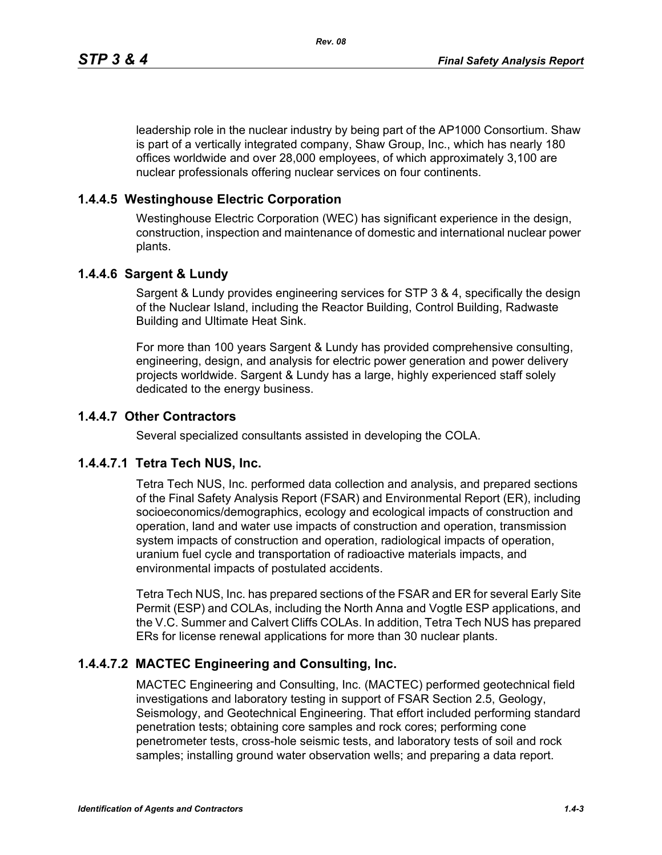leadership role in the nuclear industry by being part of the AP1000 Consortium. Shaw is part of a vertically integrated company, Shaw Group, Inc., which has nearly 180 offices worldwide and over 28,000 employees, of which approximately 3,100 are nuclear professionals offering nuclear services on four continents.

### **1.4.4.5 Westinghouse Electric Corporation**

Westinghouse Electric Corporation (WEC) has significant experience in the design, construction, inspection and maintenance of domestic and international nuclear power plants.

#### **1.4.4.6 Sargent & Lundy**

Sargent & Lundy provides engineering services for STP 3 & 4, specifically the design of the Nuclear Island, including the Reactor Building, Control Building, Radwaste Building and Ultimate Heat Sink.

For more than 100 years Sargent & Lundy has provided comprehensive consulting, engineering, design, and analysis for electric power generation and power delivery projects worldwide. Sargent & Lundy has a large, highly experienced staff solely dedicated to the energy business.

#### **1.4.4.7 Other Contractors**

Several specialized consultants assisted in developing the COLA.

#### **1.4.4.7.1 Tetra Tech NUS, Inc.**

Tetra Tech NUS, Inc. performed data collection and analysis, and prepared sections of the Final Safety Analysis Report (FSAR) and Environmental Report (ER), including socioeconomics/demographics, ecology and ecological impacts of construction and operation, land and water use impacts of construction and operation, transmission system impacts of construction and operation, radiological impacts of operation, uranium fuel cycle and transportation of radioactive materials impacts, and environmental impacts of postulated accidents.

Tetra Tech NUS, Inc. has prepared sections of the FSAR and ER for several Early Site Permit (ESP) and COLAs, including the North Anna and Vogtle ESP applications, and the V.C. Summer and Calvert Cliffs COLAs. In addition, Tetra Tech NUS has prepared ERs for license renewal applications for more than 30 nuclear plants.

## **1.4.4.7.2 MACTEC Engineering and Consulting, Inc.**

MACTEC Engineering and Consulting, Inc. (MACTEC) performed geotechnical field investigations and laboratory testing in support of FSAR Section 2.5, Geology, Seismology, and Geotechnical Engineering. That effort included performing standard penetration tests; obtaining core samples and rock cores; performing cone penetrometer tests, cross-hole seismic tests, and laboratory tests of soil and rock samples; installing ground water observation wells; and preparing a data report.